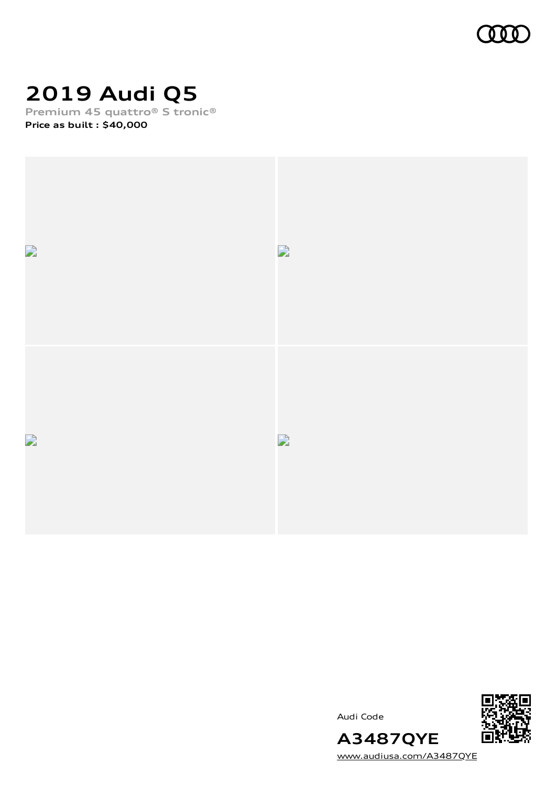

# **2019 Audi Q5**

**Premium 45 quattro® S tronic®**

**Price as built [:](#page-9-0) \$40,000**



Audi Code



[www.audiusa.com/A3487QYE](https://www.audiusa.com/A3487QYE)

**A3487QYE**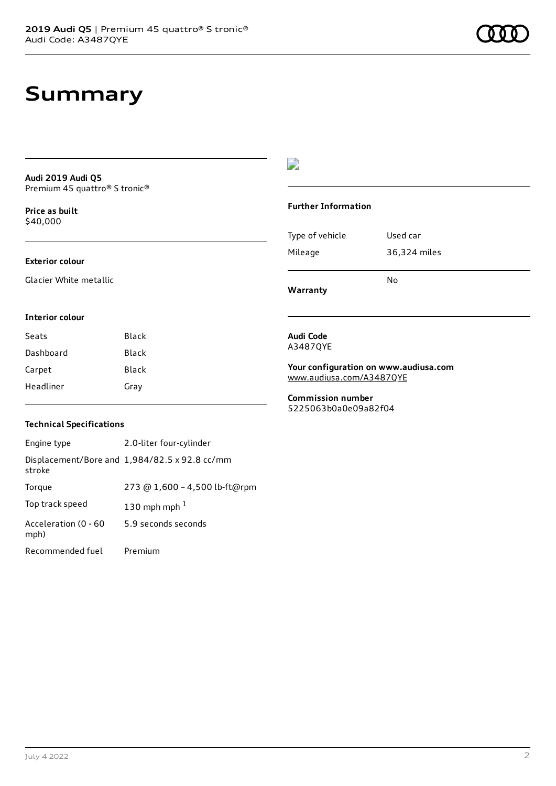### **Summary**

**Audi 2019 Audi Q5** Premium 45 quattro® S tronic®

**Price as buil[t](#page-9-0)** \$40,000

#### **Exterior colour**

Glacier White metallic

#### $\overline{\phantom{a}}$

#### **Further Information**

|                 | N٥           |
|-----------------|--------------|
| Mileage         | 36,324 miles |
| Type of vehicle | Used car     |

**Warranty**

#### **Interior colour**

| Seats     | Black |
|-----------|-------|
| Dashboard | Black |
| Carpet    | Black |
| Headliner | Grav  |

#### **Audi Code** A3487QYE

**Your configuration on www.audiusa.com** [www.audiusa.com/A3487QYE](https://www.audiusa.com/A3487QYE)

**Commission number** 5225063b0a0e09a82f04

#### **Technical Specifications**

| Engine type                  | 2.0-liter four-cylinder                       |
|------------------------------|-----------------------------------------------|
| stroke                       | Displacement/Bore and 1,984/82.5 x 92.8 cc/mm |
| Torque                       | 273 @ 1,600 - 4,500 lb-ft@rpm                 |
| Top track speed              | 130 mph mph $1$                               |
| Acceleration (0 - 60<br>mph) | 5.9 seconds seconds                           |
| Recommended fuel             | Premium                                       |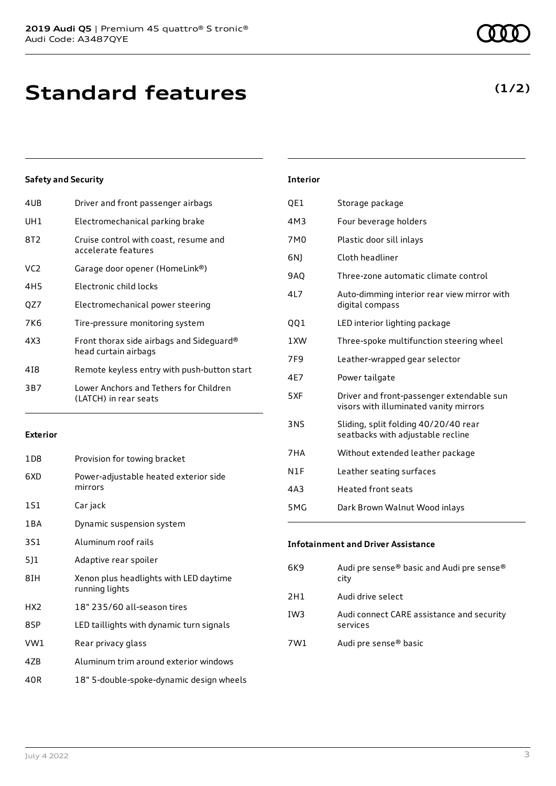**Standard features**

### **Safety and Security**

| 4UB | Driver and front passenger airbags                               |
|-----|------------------------------------------------------------------|
| UH1 | Electromechanical parking brake                                  |
| 8T2 | Cruise control with coast, resume and<br>accelerate features     |
| VC2 | Garage door opener (HomeLink®)                                   |
| 4H5 | Electronic child locks                                           |
| QZ7 | Electromechanical power steering                                 |
| 7K6 | Tire-pressure monitoring system                                  |
| 4X3 | Front thorax side airbags and Sideguard®<br>head curtain airbags |
| 418 | Remote keyless entry with push-button start                      |
| 3B7 | Lower Anchors and Tethers for Children<br>(LATCH) in rear seats  |
|     |                                                                  |

#### **Exterior**

| 1D8             | Provision for towing bracket                             |
|-----------------|----------------------------------------------------------|
| 6XD             | Power-adjustable heated exterior side<br>mirrors         |
| 1S1             | Car jack                                                 |
| 1BA             | Dynamic suspension system                                |
| 3S1             | Aluminum roof rails                                      |
| 5]1             | Adaptive rear spoiler                                    |
| 8IH             | Xenon plus headlights with LED daytime<br>running lights |
| HX <sub>2</sub> | 18" 235/60 all-season tires                              |
| 8SP             | LED taillights with dynamic turn signals                 |
| VW1             | Rear privacy glass                                       |
| 4ZB             | Aluminum trim around exterior windows                    |
| 40R             | 18" 5-double-spoke-dynamic design wheels                 |
|                 |                                                          |

**Interior**

| QE1             | Storage package                                                                     |
|-----------------|-------------------------------------------------------------------------------------|
| 4M3             | Four beverage holders                                                               |
| 7M0             | Plastic door sill inlays                                                            |
| 6N)             | Cloth headliner                                                                     |
| <b>9AQ</b>      | Three-zone automatic climate control                                                |
| 4L7             | Auto-dimming interior rear view mirror with<br>digital compass                      |
| 001             | LED interior lighting package                                                       |
| 1XW             | Three-spoke multifunction steering wheel                                            |
| 7F <sub>9</sub> | Leather-wrapped gear selector                                                       |
| 4E7             | Power tailgate                                                                      |
| 5XF             | Driver and front-passenger extendable sun<br>visors with illuminated vanity mirrors |
| <b>3NS</b>      | Sliding, split folding 40/20/40 rear<br>seatbacks with adjustable recline           |
| 7HA             | Without extended leather package                                                    |
| N1F             | Leather seating surfaces                                                            |
| 4A3             | <b>Heated front seats</b>                                                           |
| 5MG             | Dark Brown Walnut Wood inlays                                                       |

### **Infotainment and Driver Assistance** 6K9 Audi pre sense® basic and Audi pre sense® city 2H1 Audi drive select IW3 Audi connect CARE assistance and security services

7W1 Audi pre sense® basic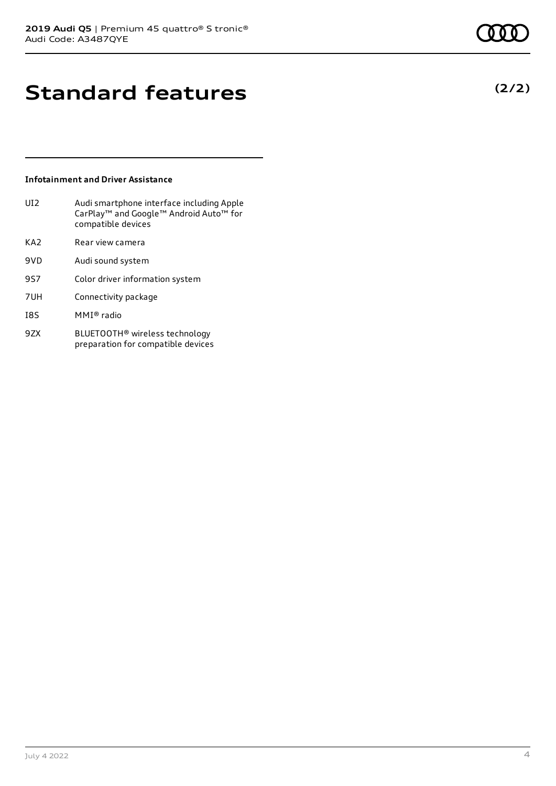**(2/2)**

# **Standard features**

#### **Infotainment and Driver Assistance**

| UI <sub>2</sub> | Audi smartphone interface including Apple<br>CarPlay <sup>™</sup> and Google <sup>™</sup> Android Auto <sup>™</sup> for<br>compatible devices |
|-----------------|-----------------------------------------------------------------------------------------------------------------------------------------------|
| KA <sub>2</sub> | Rear view camera                                                                                                                              |
| 9VD             | Audi sound system                                                                                                                             |
| 9S7             | Color driver information system                                                                                                               |
| 7UH             | Connectivity package                                                                                                                          |
| I8S             | MMI® radio                                                                                                                                    |

9ZX BLUETOOTH® wireless technology preparation for compatible devices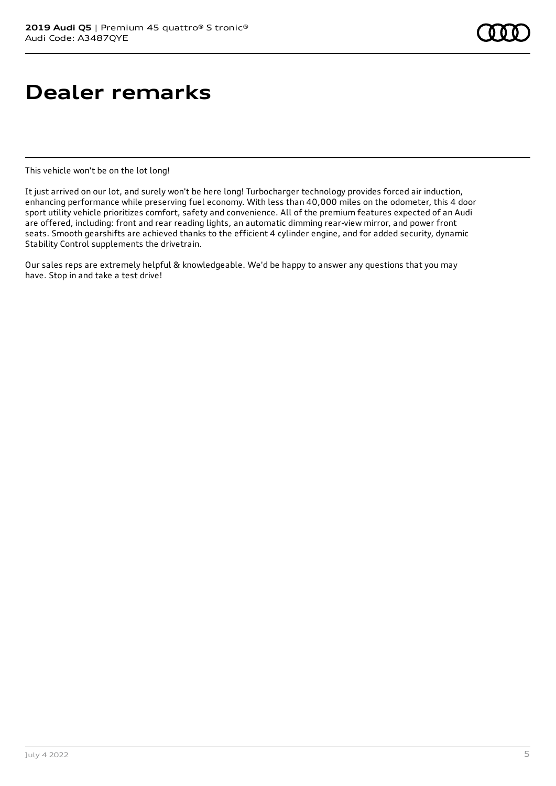# **Dealer remarks**

This vehicle won't be on the lot long!

It just arrived on our lot, and surely won't be here long! Turbocharger technology provides forced air induction, enhancing performance while preserving fuel economy. With less than 40,000 miles on the odometer, this 4 door sport utility vehicle prioritizes comfort, safety and convenience. All of the premium features expected of an Audi are offered, including: front and rear reading lights, an automatic dimming rear-view mirror, and power front seats. Smooth gearshifts are achieved thanks to the efficient 4 cylinder engine, and for added security, dynamic Stability Control supplements the drivetrain.

Our sales reps are extremely helpful & knowledgeable. We'd be happy to answer any questions that you may have. Stop in and take a test drive!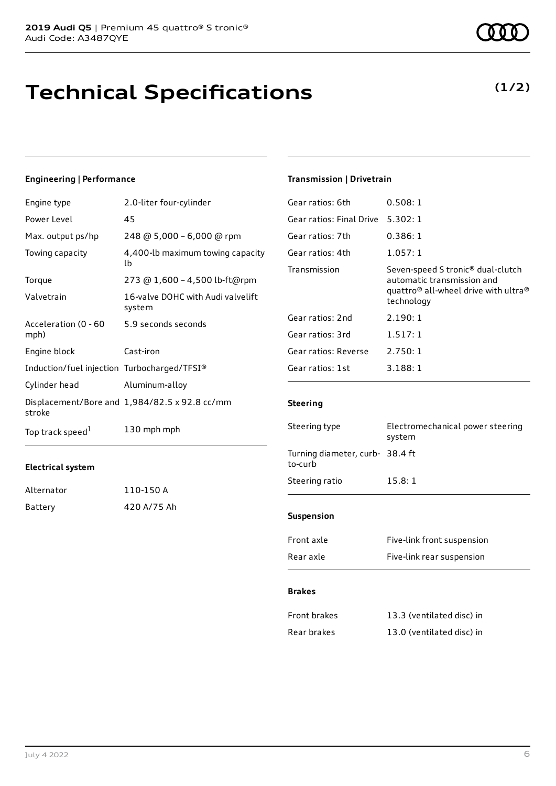**Technical Specifications**

### **Engineering | Performance**

| Engine type                                 | 2.0-liter four-cylinder                       |
|---------------------------------------------|-----------------------------------------------|
| Power Level                                 | 45                                            |
| Max. output ps/hp                           | 248 @ 5,000 - 6,000 @ rpm                     |
| Towing capacity                             | 4,400-lb maximum towing capacity<br>lb        |
| Torque                                      | 273 @ 1,600 - 4,500 lb-ft@rpm                 |
| Valvetrain                                  | 16-valve DOHC with Audi valvelift<br>system   |
| Acceleration (0 - 60<br>mph)                | 5.9 seconds seconds                           |
| Engine block                                | Cast-iron                                     |
| Induction/fuel injection Turbocharged/TFSI® |                                               |
| Cylinder head                               | Aluminum-alloy                                |
| stroke                                      | Displacement/Bore and 1,984/82.5 x 92.8 cc/mm |
| Top track speed <sup>1</sup>                | 130 mph mph                                   |

#### **Electrical system**

| Alternator | 110-150 A   |
|------------|-------------|
| Battery    | 420 A/75 Ah |

#### July 4 2022 6

### **Transmission | Drivetrain**

| Gear ratios: 6th         | 0.508:1                                                                                                                                                   |
|--------------------------|-----------------------------------------------------------------------------------------------------------------------------------------------------------|
| Gear ratios: Final Drive | 5.302:1                                                                                                                                                   |
| Gear ratios: 7th         | 0.386:1                                                                                                                                                   |
| Gear ratios: 4th         | 1.057:1                                                                                                                                                   |
| Transmission             | Seven-speed S tronic <sup>®</sup> dual-clutch<br>automatic transmission and<br>quattro <sup>®</sup> all-wheel drive with ultra <sup>®</sup><br>technology |
| Gear ratios: 2nd         | 2.190:1                                                                                                                                                   |
| Gear ratios: 3rd         | 1.517:1                                                                                                                                                   |
| Gear ratios: Reverse     | 2.750:1                                                                                                                                                   |
| Gear ratios: 1st         | 3.188:1                                                                                                                                                   |
|                          |                                                                                                                                                           |

#### **Steering**

| Steering type                              | Electromechanical power steering<br>system |
|--------------------------------------------|--------------------------------------------|
| Turning diameter, curb- 38.4 ft<br>to-curb |                                            |
| Steering ratio                             | 15.8:1                                     |
| <b>Suspension</b>                          |                                            |
| Front axle                                 | Five-link front suspension                 |

| Rear axle | Five-link rear suspension |
|-----------|---------------------------|
|           |                           |

#### **Brakes**

| Front brakes | 13.3 (ventilated disc) in |
|--------------|---------------------------|
| Rear brakes  | 13.0 (ventilated disc) in |

### **(1/2)**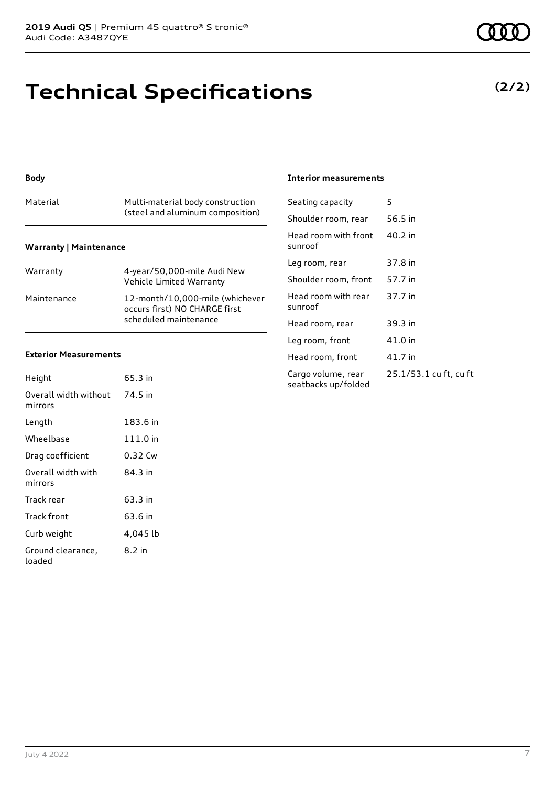## **Technical Specifications**

#### **Body**

#### **Warranty | Maintenance**

| Warranty    | 4-year/50,000-mile Audi New<br>Vehicle Limited Warranty                                   |
|-------------|-------------------------------------------------------------------------------------------|
| Maintenance | 12-month/10.000-mile (whichever<br>occurs first) NO CHARGE first<br>scheduled maintenance |

#### **Exterior Measurements**

| Height                           | 65.3 in  |
|----------------------------------|----------|
| Overall width without<br>mirrors | 74.5 in  |
| Length                           | 183.6 in |
| Wheelbase                        | 111.0 in |
| Drag coefficient                 | 0.32 Cw  |
| Overall width with<br>mirrors    | 84.3 in  |
| Track rear                       | 63.3 in  |
| Track front                      | 63.6 in  |
| Curb weight                      | 4,045 lb |
| Ground clearance,<br>loaded      | 8.2 in   |

#### **Interior measurements**

| Seating capacity                          | 5                      |
|-------------------------------------------|------------------------|
| Shoulder room, rear                       | 56.5 in                |
| Head room with front<br>sunroof           | 40.2 in                |
| Leg room, rear                            | 37.8 in                |
| Shoulder room, front                      | 57.7 in                |
| Head room with rear<br>sunroof            | 37.7 in                |
| Head room, rear                           | 39.3 in                |
| Leg room, front                           | 41.0 in                |
| Head room, front                          | 41.7 in                |
| Cargo volume, rear<br>seatbacks up/folded | 25.1/53.1 cu ft, cu ft |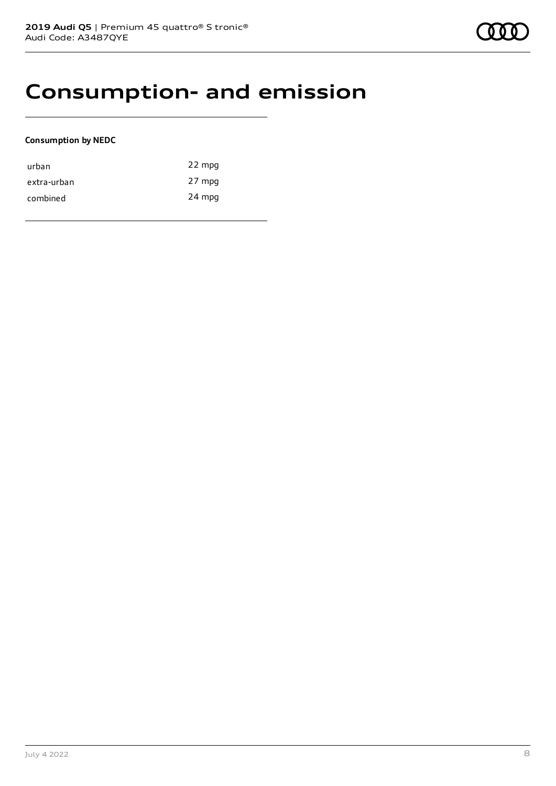### **Consumption- and emission**

#### **Consumption by NEDC**

| urban       | 22 mpg |
|-------------|--------|
| extra-urban | 27 mpg |
| combined    | 24 mpg |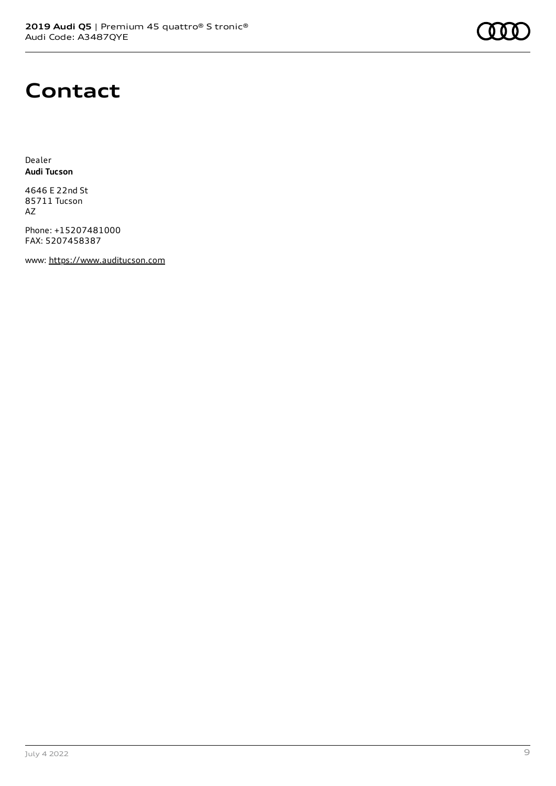

### **Contact**

Dealer **Audi Tucson**

4646 E 22nd St 85711 Tucson AZ

Phone: +15207481000 FAX: 5207458387

www: [https://www.auditucson.com](https://www.auditucson.com/)